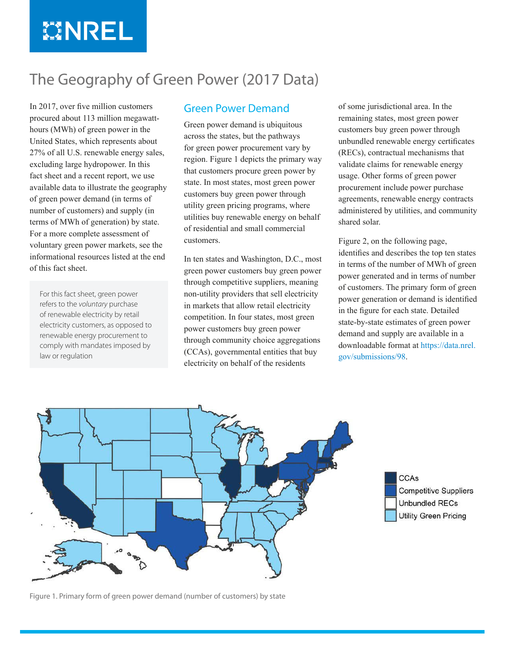# **MINREL**

### The Geography of Green Power (2017 Data)

In 2017, over five million customers procured about 113 million megawatthours (MWh) of green power in the United States, which represents about 27% of all U.S. renewable energy sales, excluding large hydropower. In this fact sheet and a recent report, we use available data to illustrate the geography of green power demand (in terms of number of customers) and supply (in terms of MWh of generation) by state. For a more complete assessment of voluntary green power markets, see the informational resources listed at the end of this fact sheet.

For this fact sheet, green power refers to the *voluntary* purchase of renewable electricity by retail electricity customers, as opposed to renewable energy procurement to comply with mandates imposed by law or regulation

#### Green Power Demand

Green power demand is ubiquitous across the states, but the pathways for green power procurement vary by region. [Figure 1](#page-0-0) depicts the primary way that customers procure green power by state. In most states, most green power customers buy green power through utility green pricing programs, where utilities buy renewable energy on behalf of residential and small commercial customers.

In ten states and Washington, D.C., most green power customers buy green power through competitive suppliers, meaning non-utility providers that sell electricity in markets that allow retail electricity competition. In four states, most green power customers buy green power through community choice aggregations (CCAs), governmental entities that buy electricity on behalf of the residents

of some jurisdictional area. In the remaining states, most green power customers buy green power through unbundled renewable energy certificates (RECs), contractual mechanisms that validate claims for renewable energy usage. Other forms of green power procurement include power purchase agreements, renewable energy contracts administered by utilities, and community shared solar.

Figure 2, on the following page, identifies and describes the top ten states in terms of the number of MWh of green power generated and in terms of number of customers. The primary form of green power generation or demand is identified in the figure for each state. Detailed state-by-state estimates of green power demand and supply are available in a downloadable format at [https://data.nrel.](https://data.nrel.gov/submissions/98) [gov/submissions/98.](https://data.nrel.gov/submissions/98)





<span id="page-0-0"></span>Figure 1. Primary form of green power demand (number of customers) by state